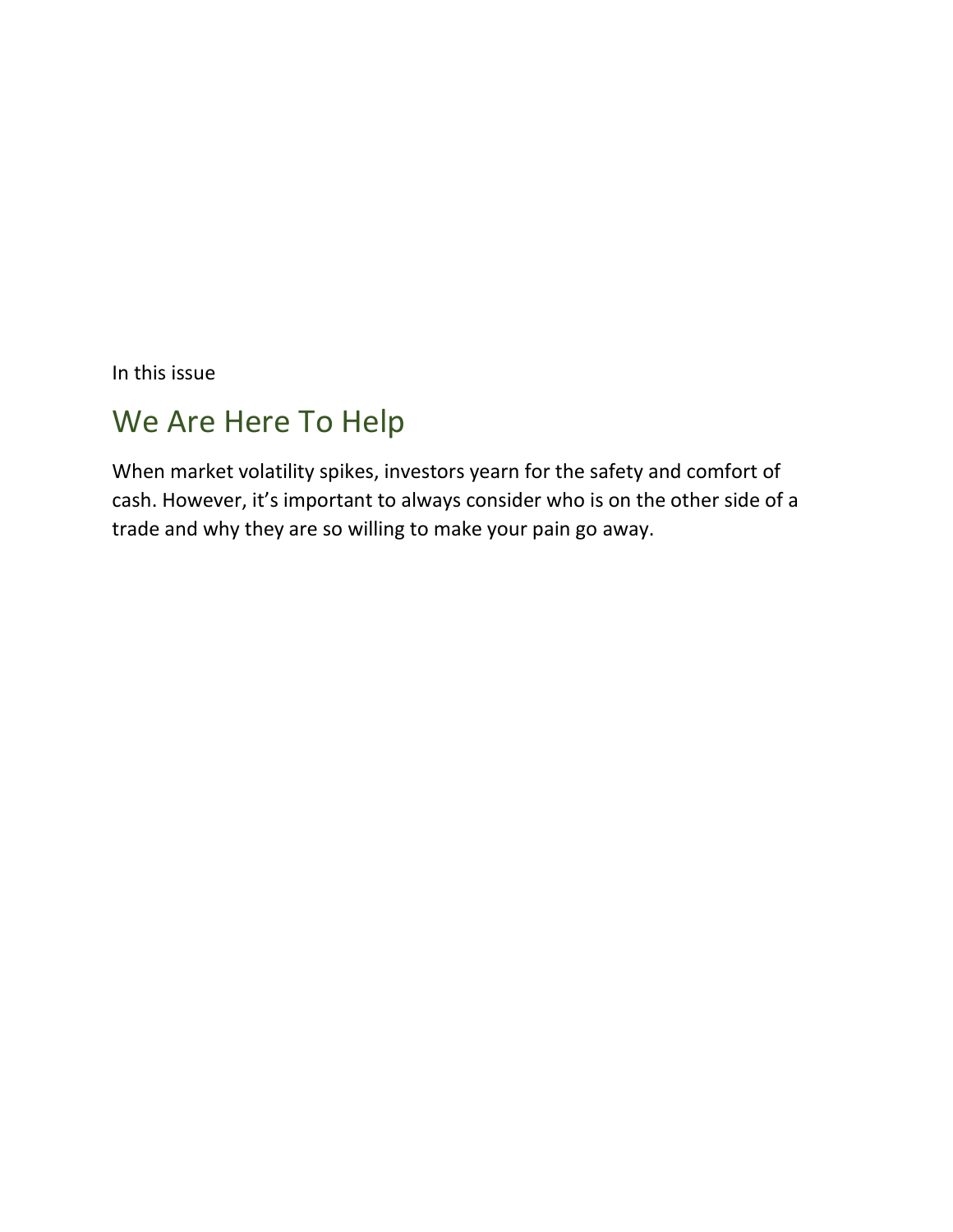In this issue

# We Are Here To Help

When market volatility spikes, investors yearn for the safety and comfort of cash. However, it's important to always consider who is on the other side of a trade and why they are so willing to make your pain go away.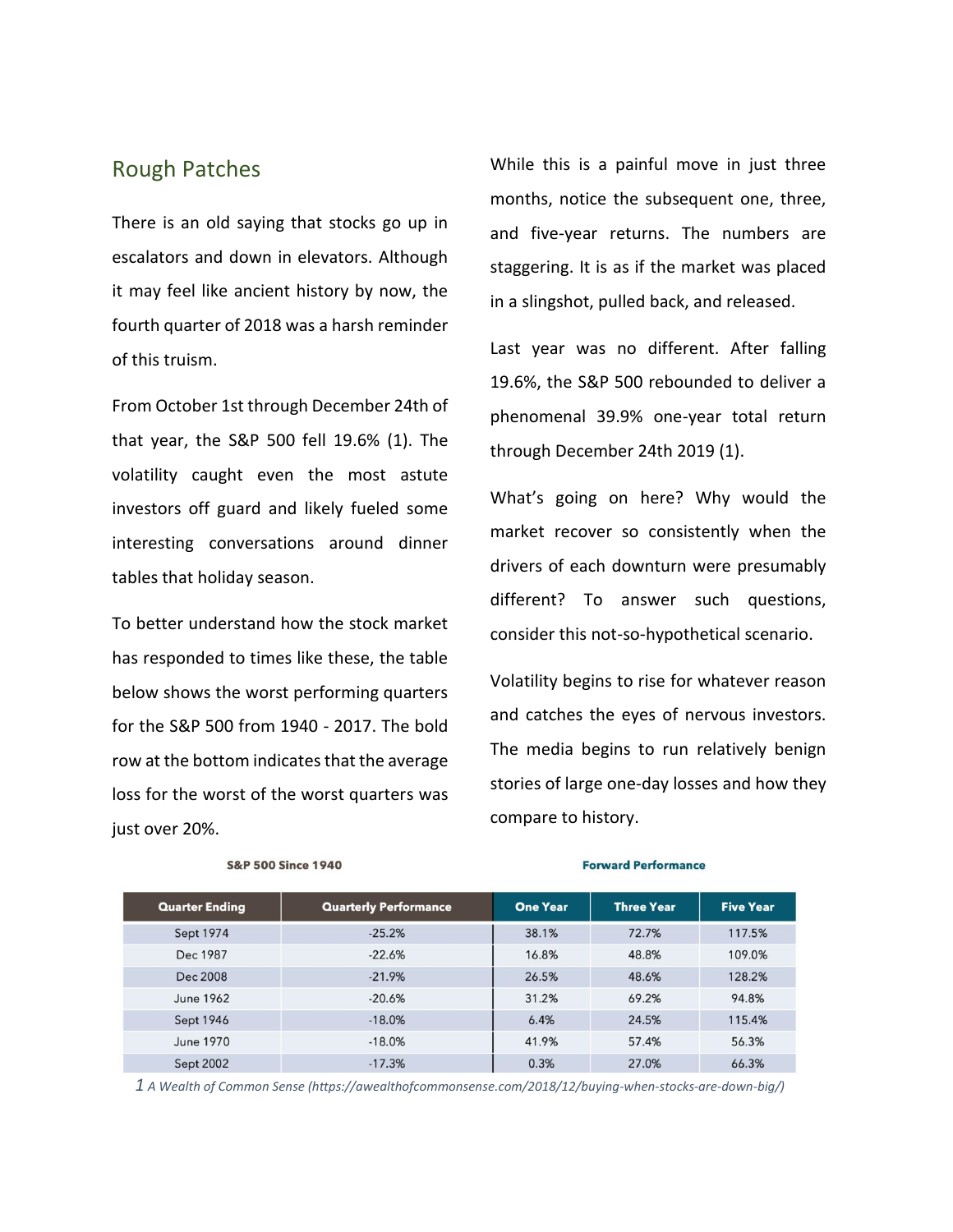### Rough Patches

There is an old saying that stocks go up in escalators and down in elevators. Although it may feel like ancient history by now, the fourth quarter of 2018 was a harsh reminder of this truism.

From October 1st through December 24th of that year, the S&P 500 fell 19.6% (1). The volatility caught even the most astute investors off guard and likely fueled some interesting conversations around dinner tables that holiday season.

To better understand how the stock market has responded to times like these, the table below shows the worst performing quarters for the S&P 500 from 1940 - 2017. The bold row at the bottom indicates that the average loss for the worst of the worst quarters was just over 20%.

While this is a painful move in just three months, notice the subsequent one, three, and five-year returns. The numbers are staggering. It is as if the market was placed in a slingshot, pulled back, and released.

Last year was no different. After falling 19.6%, the S&P 500 rebounded to deliver a phenomenal 39.9% one-year total return through December 24th 2019 (1).

What's going on here? Why would the market recover so consistently when the drivers of each downturn were presumably different? To answer such questions, consider this not-so-hypothetical scenario.

Volatility begins to rise for whatever reason and catches the eyes of nervous investors. The media begins to run relatively benign stories of large one-day losses and how they compare to history.

| <b>Quarter Ending</b> | <b>Quarterly Performance</b> | <b>One Year</b> | <b>Three Year</b> | <b>Five Year</b> |
|-----------------------|------------------------------|-----------------|-------------------|------------------|
| Sept 1974             | $-25.2%$                     | 38.1%           | 72.7%             | 117.5%           |
| Dec 1987              | $-22.6%$                     | 16.8%           | 48.8%             | 109.0%           |
| Dec 2008              | $-21.9%$                     | 26.5%           | 48.6%             | 128.2%           |
| June 1962             | $-20.6%$                     | 31.2%           | 69.2%             | 94.8%            |
| Sept 1946             | $-18.0%$                     | 6.4%            | 24.5%             | 115.4%           |
| June 1970             | $-18.0%$                     | 41.9%           | 57.4%             | 56.3%            |
| Sept 2002             | $-17.3%$                     | 0.3%            | 27.0%             | 66.3%            |

### **S&P 500 Since 1940**

#### **Forward Performance**

*1 A Wealth of Common Sense (https://awealthofcommonsense.com/2018/12/buying-when-stocks-are-down-big/)*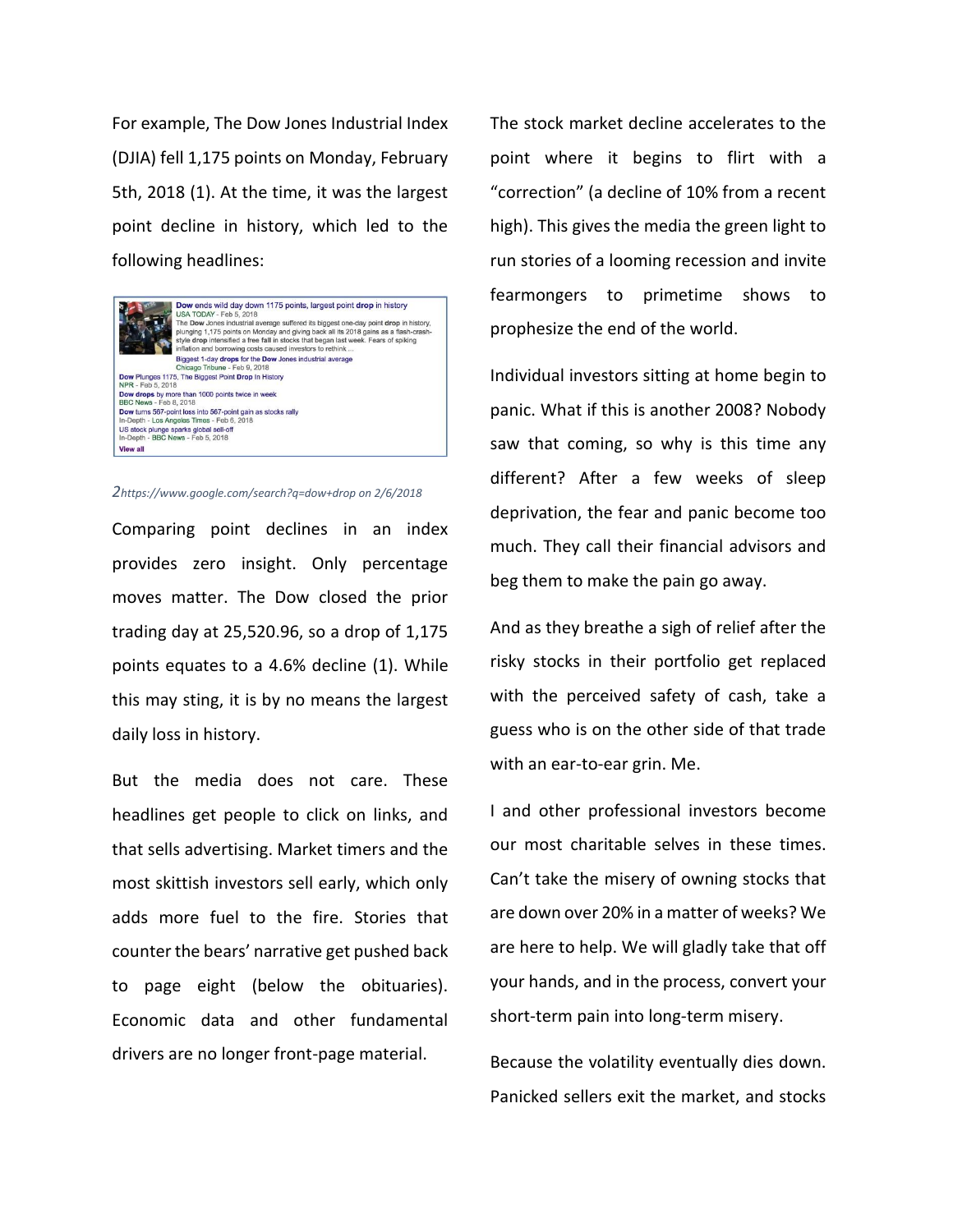For example, The Dow Jones Industrial Index (DJIA) fell 1,175 points on Monday, February 5th, 2018 (1). At the time, it was the largest point decline in history, which led to the following headlines:



*2https://www.google.com/search?q=dow+drop on 2/6/2018*

Comparing point declines in an index provides zero insight. Only percentage moves matter. The Dow closed the prior trading day at 25,520.96, so a drop of 1,175 points equates to a 4.6% decline (1). While this may sting, it is by no means the largest daily loss in history.

But the media does not care. These headlines get people to click on links, and that sells advertising. Market timers and the most skittish investors sell early, which only adds more fuel to the fire. Stories that counter the bears' narrative get pushed back to page eight (below the obituaries). Economic data and other fundamental drivers are no longer front-page material.

The stock market decline accelerates to the point where it begins to flirt with a "correction" (a decline of 10% from a recent high). This gives the media the green light to run stories of a looming recession and invite fearmongers to primetime shows to prophesize the end of the world.

Individual investors sitting at home begin to panic. What if this is another 2008? Nobody saw that coming, so why is this time any different? After a few weeks of sleep deprivation, the fear and panic become too much. They call their financial advisors and beg them to make the pain go away.

And as they breathe a sigh of relief after the risky stocks in their portfolio get replaced with the perceived safety of cash, take a guess who is on the other side of that trade with an ear-to-ear grin. Me.

I and other professional investors become our most charitable selves in these times. Can't take the misery of owning stocks that are down over 20% in a matter of weeks? We are here to help. We will gladly take that off your hands, and in the process, convert your short-term pain into long-term misery.

Because the volatility eventually dies down. Panicked sellers exit the market, and stocks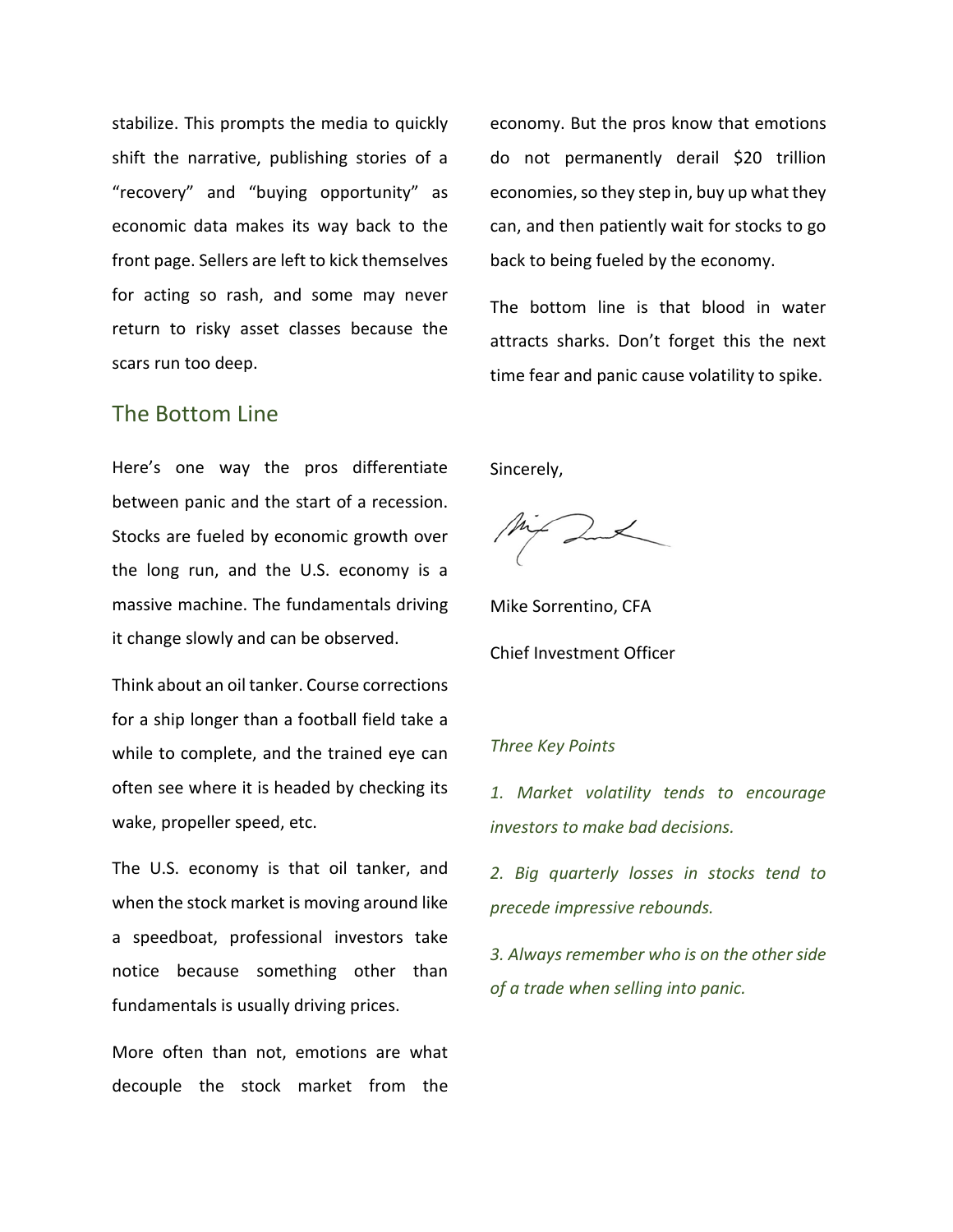stabilize. This prompts the media to quickly shift the narrative, publishing stories of a "recovery" and "buying opportunity" as economic data makes its way back to the front page. Sellers are left to kick themselves for acting so rash, and some may never return to risky asset classes because the scars run too deep.

## The Bottom Line

Here's one way the pros differentiate between panic and the start of a recession. Stocks are fueled by economic growth over the long run, and the U.S. economy is a massive machine. The fundamentals driving it change slowly and can be observed.

Think about an oil tanker. Course corrections for a ship longer than a football field take a while to complete, and the trained eye can often see where it is headed by checking its wake, propeller speed, etc.

The U.S. economy is that oil tanker, and when the stock market is moving around like a speedboat, professional investors take notice because something other than fundamentals is usually driving prices.

More often than not, emotions are what decouple the stock market from the economy. But the pros know that emotions do not permanently derail \$20 trillion economies, so they step in, buy up what they can, and then patiently wait for stocks to go back to being fueled by the economy.

The bottom line is that blood in water attracts sharks. Don't forget this the next time fear and panic cause volatility to spike.

Sincerely,

Mike Sorrentino, CFA Chief Investment Officer

### *Three Key Points*

*1. Market volatility tends to encourage investors to make bad decisions.* 

*2. Big quarterly losses in stocks tend to precede impressive rebounds.* 

*3. Always remember who is on the other side of a trade when selling into panic.*